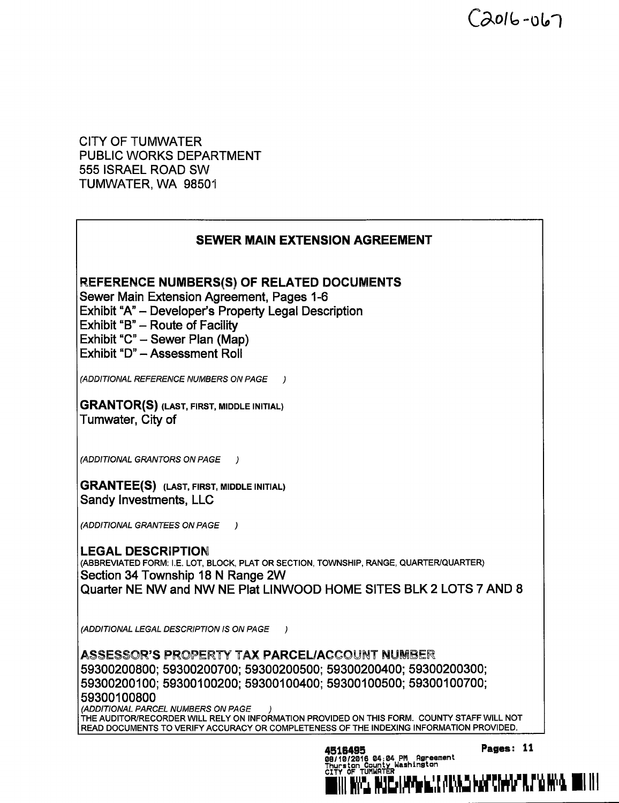$C$ 2016-067

CITY OF TUMWATER PUBLIC WORKS DEPARTMENT 555 ISRAEL ROAD SW TUMWATER, WA 98501

## SEWER MAIN EXTENSION AGREEMENT

REFERENCE NUMBERS(S) OF RELATED DOCUMENTS

Sewer Main Extension Agreement, Pages 1-6

Exhibit "A"- Developer's Property Legal Description

Exhibit " $B$ "  $-$  Route of Facility

Exhibit "C" - Sewer Plan (Map)

Exhibit "D" - Assessment Roll

ADDITIONAL REFERENCE NUMBERS ON PAGE )

GRANTOR(S) ( LAST, FIRST, MIDDLE INITIAL) Tumwater, City of

ADDITIONAL GRANTORS ON PAGE )

GRANTEE(S) ( LAST, FIRST, MIDDLE INITIAL) Sandy Investments, LLC

ADDITIONAL GRANTEES ON PAGE )

LEGAL DESCRIPTION (ABBREVIATED FORM: I.E. LOT, BLOCK, PLAT OR SECTION, TOWNSHIP, RANGE, QUARTER/QUARTER) Section 34 Township 18 N Range 2W Quarter NE NW and NW NE Plat LINWOOD HOME SITES BLK 2 LOTS 7 AND 8

ADDITIONAL LEGAL DESCRIPTION IS ON PAGE )

ASSESSOR'S PROPERTY TAX PARCEL/ACCOUNT NUMBER 59300200800; 59300200700; 59300200500; 59300200400; 59300200300; 59300200100; 59300100200; 59300100400; 59300100500; 59300100700; 59300100800

(ADDITIONAL PARCEL NUMBERS ON PAGE THE AUDITOR/RECORDER WILL RELY ON INFORMATION PROVIDED ON THIS FORM. COUNTY STAFF WILL NOT READ DOCUMENTS TO VERIFY ACCURACY OR COMPLETENESS OF THE INDEXING INFORMATION PROVIDED.

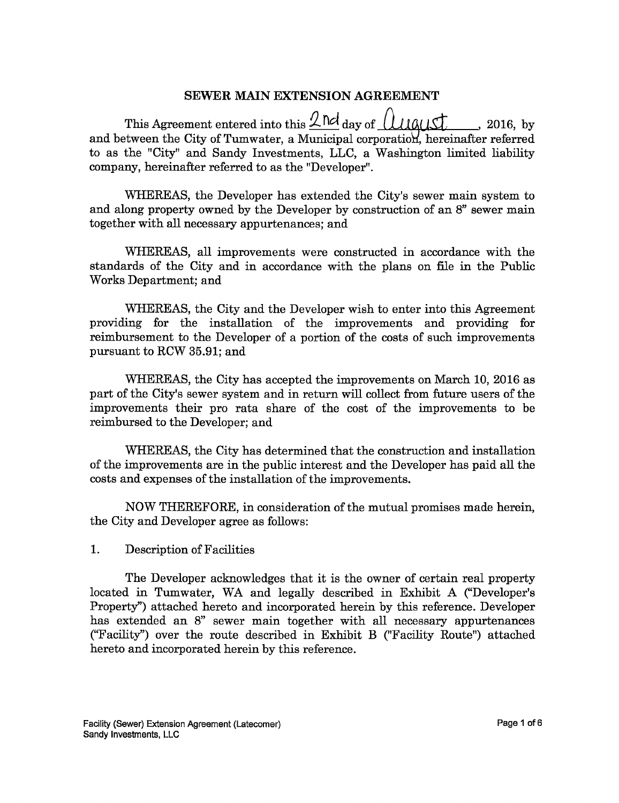#### SEWER MAIN EXTENSION AGREEMENT

This Agreement entered into this  $2 \text{ Nd}$  day of  $(1/10)/15$ , 2016, by and between the City of Tumwater, a Municipal corporation, hereinafter referred to as the " City" and Sandy Investments, LLC, a Washington limited liability company, hereinafter referred to as the "Developer".

WHEREAS, the Developer has extended the City's sewer main system to and along property owned by the Developer by construction of an 8" sewer main together with all necessary appurtenances; and

WHEREAS, all improvements were constructed in accordance with the standards of the City and in accordance with the plans on file in the Public Works Department; and

WHEREAS, the City and the Developer wish to enter into this Agreement providing for the installation of the improvements and providing for reimbursement to the Developer of a portion of the costs of such improvements pursuant to RCW 35. 91; and

WHEREAS, the City has accepted the improvements on March 10, 2016 as part of the City's sewer system and in return will collect from future users of the improvements their pro rata share of the cost of the improvements to be reimbursed to the Developer; and

WHEREAS, the City has determined that the construction and installation of the improvements are in the public interest and the Developer has paid all the costs and expenses of the installation of the improvements.

NOW THEREFORE, in consideration of the mutual promises made herein, the City and Developer agree as follows:

#### 1. Description of Facilities

The Developer acknowledges that it is the owner of certain real property located in Tumwater, WA and legally described in Exhibit A ("Developer's Property") attached hereto and incorporated herein by this reference. Developer has extended an 8" sewer main together with all necessary appurtenances Facility") over the route described in Exhibit B ("Facility Route") attached hereto and incorporated herein by this reference.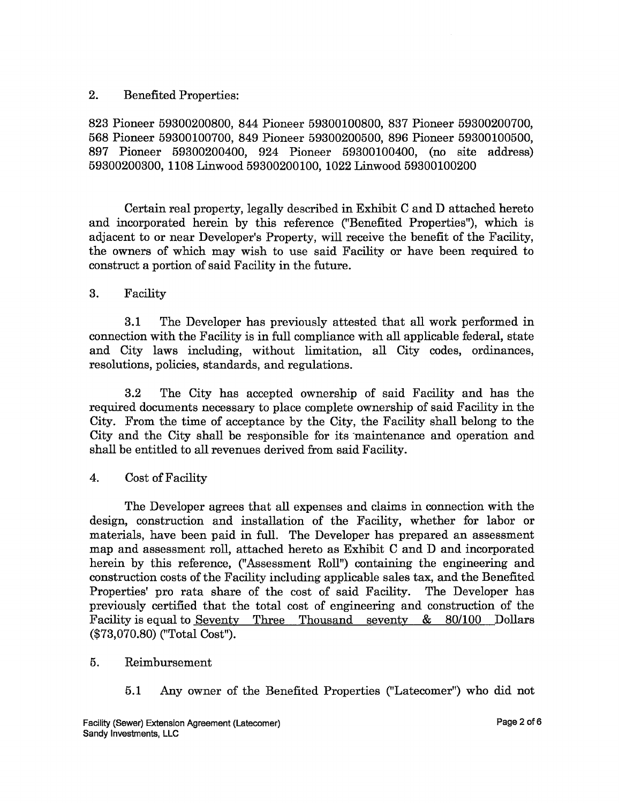### 2. Benefited Properties:

823 Pioneer 59300200800, 844 Pioneer 59300100800, 837 Pioneer 59300200700, 568 Pioneer 59300100700, 849 Pioneer 59300200500, 896 Pioneer 59300100500, 897 Pioneer 59300200400, 924 Pioneer 59300100400, (no site address) 59300200300, 1108 Linwood 59300200100, 1022 Linwood 59300100200

Certain real property, legally described in Exhibit C and D attached hereto and incorporated herein by this reference ("Benefited Properties"), which is adjacent to or near Developer's Property, will receive the benefit of the Facility, the owners of which may wish to use said Facility or have been required to construct a portion of said Facility in the future.

### 3. Facility

3.1 The Developer has previously attested that all work performed in connection with the Facility is in full compliance with all applicable federal, state and City laws including, without limitation, all City codes, ordinances, resolutions, policies, standards, and regulations.

3. 2 The City has accepted ownership of said Facility and has the required documents necessary to place complete ownership of said Facility in the City. From the time of acceptance by the City, the Facility shall belong to the City and the City shall be responsible for its 'maintenance and operation and shall be entitled to all revenues derived from said Facility.

## 4. Cost of Facility

The Developer agrees that all expenses and claims in connection with the design, construction and installation of the Facility, whether for labor or materials, have been paid in full. The Developer has prepared an assessment map and assessment roll, attached hereto as Exhibit C and D and incorporated herein by this reference, ("Assessment Roll") containing the engineering and construction costs of the Facility including applicable sales tax, and the Benefited Properties' pro rata share of the cost of said Facility. previously certified that the total cost of engineering and construction of the Facility is equal to Seventy Three Thousand seventy & 80/100 Dollars (\$73,070.80) ("Total Cost").

## 5. Reimbursement

5. <sup>1</sup> Any owner of the Benefited Properties (" Latecomer") who did not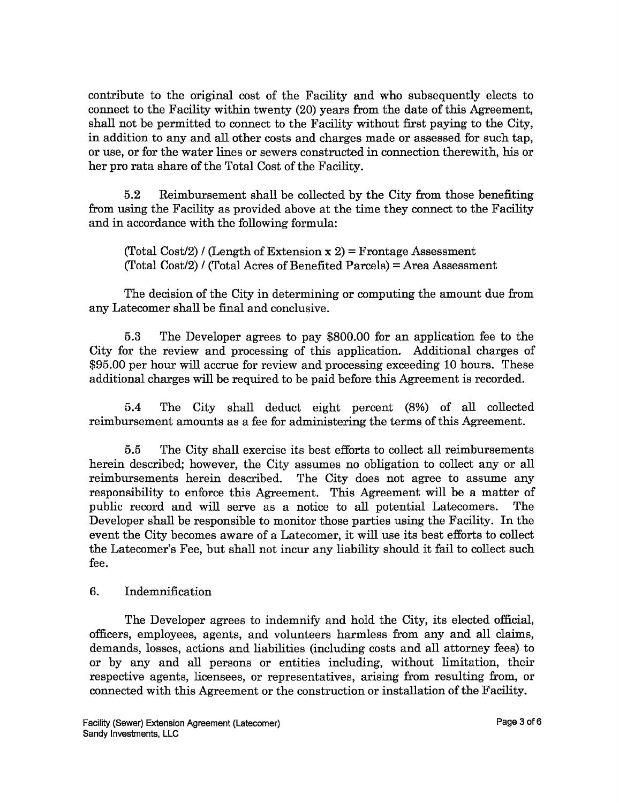contribute to the original cost of the Facility and who subsequently elects to connect to the Facility within twenty (20) years from the date of this Agreement, shall not be permitted to connect to the Facility without first paying to the City, in addition to any and all other costs and charges made or assessed for such tap, or use, or for the water lines or sewers constructed in connection therewith, his or her pro rata share of the Total Cost of the Facility.

5. 2 Reimbursement shall be collected by the City from those benefiting from using the Facility as provided above at the time they connect to the Facility and in accordance with the following formula:

 $(Total Cost/2)$  / (Length of Extension x 2) = Frontage Assessment  $(Total Cost/2)$  /  $(Total Area of Benedict Parcels) = Area Assessment$ 

The decision of the City in determining or computing the amount due from any Latecomer shall be final and conclusive.

5. <sup>3</sup> The Developer agrees to pay \$ 800.00 for an application fee to the City for the review and processing of this application. Additional charges of 95.<sup>00</sup> per hour will accrue for review and processing exceeding <sup>10</sup> hours. These additional charges will be required to be paid before this Agreement is recorded.

5.<sup>4</sup> The City shall deduct eight percent (8%) of all collected reimbursement amounts as a fee for administering the terms of this Agreement.

5. 5 The City shall exercise its best efforts to collect all reimbursements herein described; however, the City assumes no obligation to collect any or all reimbursements herein described. The City does not agree to assume any responsibility to enforce this Agreement. This Agreement will be <sup>a</sup> matter of public record and will serve as <sup>a</sup> notice to all potential Latecomers. The Developer shall be responsible to monitor those parties using the Facility. In the event the City becomes aware of <sup>a</sup> Latecomer, it will use its best efforts to collect the Latecomer's Fee, but shall not incur any liability should it fail to collect such fee.

## 6. Indemnification

The Developer agrees to indemnify and hold the City, its elected official, officers, employees, agents, and volunteers harmless from any and all claims, demands, losses, actions and liabilities (including costs and all attorney fees) to or by any and all persons or entities including, without limitation, their respective agents, licensees, or representatives, arising from resulting from, or connected with this Agreement or the construction or installation of the Facility.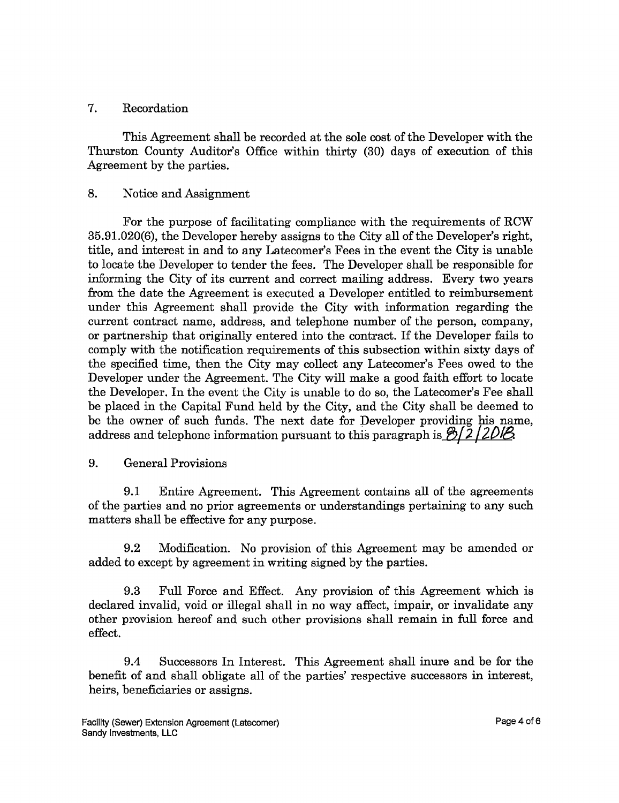### 7. Recordation

This Agreement shall be recorded at the sole cost of the Developer with the Thurston County Auditor'<sup>s</sup> Office within thirty ( 30) days of execution of this Agreement by the parties.

## 8. Notice and Assignment

For the purpose of facilitating compliance with the requirements of RCW 35. 91. 020(6), the Developer hereby assigns to the City all of the Developer's right, title, and interest in and to any Latecomer's Fees in the event the City is unable to locate the Developer to tender the fees. The Developer shall be responsible for informing the City of its current and correct mailing address. Every two years from the date the Agreement is executed a Developer entitled to reimbursement under this Agreement shall provide the City with information regarding the current contract name, address, and telephone number of the person, company, or partnership that originally entered into the contract. If the Developer fails to comply with the notification requirements of this subsection within sixty days of the specified time, then the City may collect any Latecomer's Fees owed to the Developer under the Agreement. The City will make a good faith effort to locate the Developer. In the event the City is unable to do so, the Latecomer's Fee shall be placed in the Capital Fund held by the City, and the City shall be deemed to be the owner of such funds. The next date for Developer providing his name, address and telephone information pursuant to this paragraph is  $\frac{8}{2}$  2 | 2018

## 9. General Provisions

9. <sup>1</sup> Entire Agreement. This Agreement contains all of the agreements of the parties and no prior agreements or understandings pertaining to any such matters shall be effective for any purpose.

9.2 Modification. No provision of this Agreement may be amended or added to except by agreement in writing signed by the parties.

9.3 Full Force and Effect. Any provision of this Agreement which is declared invalid, void or illegal shall in no way affect, impair, or invalidate any other provision hereof and such other provisions shall remain in full force and effect.

9. 4 Successors In Interest. This Agreement shall inure and be for the benefit of and shall obligate all of the parties' respective successors in interest, heirs, beneficiaries or assigns.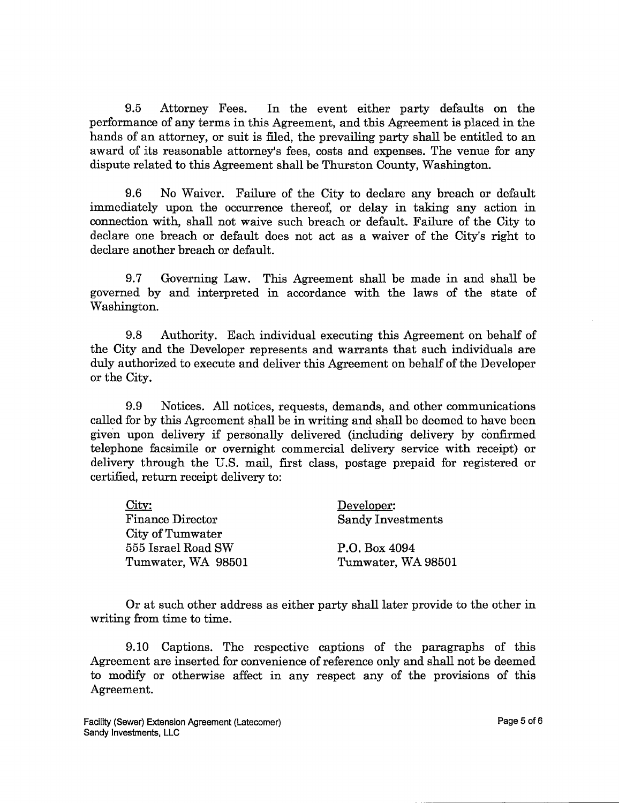9.5 Attorney Fees. In the event either party defaults on the performance of any terms in this Agreement, and this Agreement is placed in the hands of an attorney, or suit is filed, the prevailing party shall be entitled to an award of its reasonable attorney's fees, costs and expenses. The venue for any dispute related to this Agreement shall be Thurston County, Washington.

9.6 No Waiver. Failure of the City to declare any breach or default immediately upon the occurrence thereof, or delay in taking any action in connection with, shall not waive such breach or default. Failure of the City to declare one breach or default does not act as a waiver of the City's right to declare another breach or default.

9.7 Governing Law. This Agreement shall be made in and shall be governed by and interpreted in accordance with the laws of the state of Washington.

9.8 Authority. Each individual executing this Agreement on behalf of the City and the Developer represents and warrants that such individuals are duly authorized to execute and deliver this Agreement on behalf of the Developer or the City.

9.9 Notices. All notices, requests, demands, and other communications called for by this Agreement shall be in writing and shall be deemed to have been given upon delivery if personally delivered (including delivery by confirmed telephone facsimile or overnight commercial delivery service with receipt) or delivery through the U.S. mail, first class, postage prepaid for registered or certified, return receipt delivery to:

| City:                   | Developer:               |
|-------------------------|--------------------------|
| <b>Finance Director</b> | <b>Sandy Investments</b> |
| City of Tumwater        |                          |
| 555 Israel Road SW      | P.O. Box 4094            |
| Tumwater, WA 98501      | Tumwater, WA 98501       |

Or at such other address as either party shall later provide to the other in writing from time to time.

9. 10 Captions. The respective captions of the paragraphs of this Agreement are inserted for convenience of reference only and shall not be deemed to modify or otherwise affect in any respect any of the provisions of this Agreement.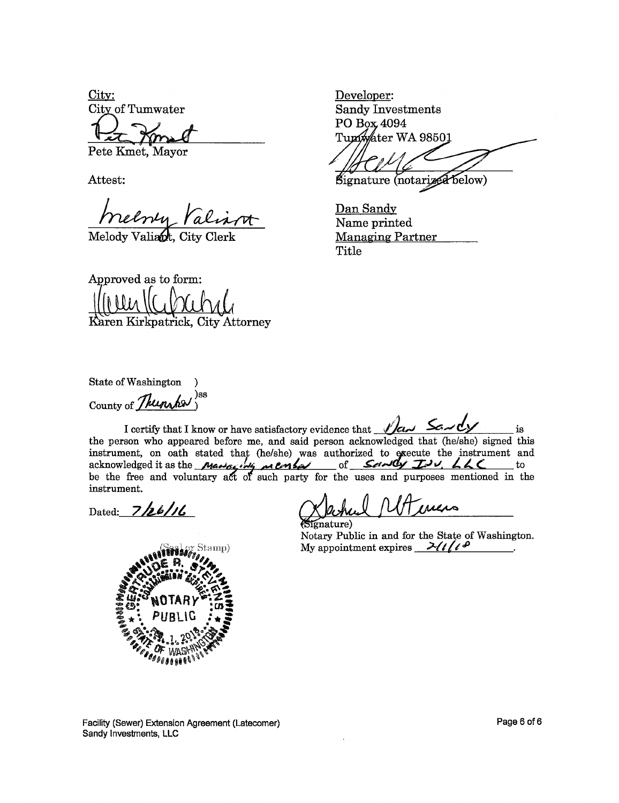City: City of Tumwater

Pete Kmet, Mayor

Attest:

Melody Valiant, City Clerk

Developer: **Sandy Investments** PO Box 4094 Tunwater WA 98501

Signature (notarized below)

Dan Sandy Name printed **Managing Partner** 

Title

Approved as to form: Karen Kirkpatrick, City Attorney

State of Washington )ss County of Thunshes

I certify that I know or have satisfactory evidence that  $\sqrt{2a\lambda}$  Savely is the person who appeared before me, and said person acknowledged that (he/she) signed this instrument, on oath stated that (he/she) was authorized to execute the instrument and acknowledged it as the *Marine manipulary* of Servey Tov, LLC to be the free and voluntary act of such party for the uses and purposes mentioned in the instrument.

Dated:  $7/26/16$ 

mature) Notary Public in and for the State of Washington. My appointment expires  $\frac{\partial \mathcal{U}}{\partial \theta}$ 



Facility (Sewer) Extension Agreement (Latecomer) Sandy Investments, LLC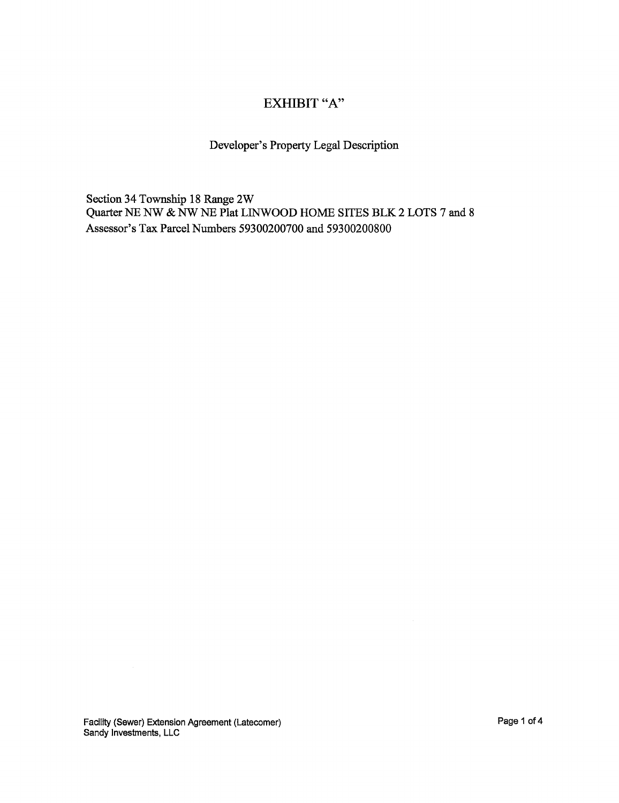# EXHIBIT "A"

# Developer's Property Legal Description

Section 34 Township 18 Range 2W Quarter NE NW & NW NE Plat LINWOOD HOME SITES BLK 2 LOTS 7 and 8 Assessor's Tax Parcel Numbers 59300200700 and 59300200800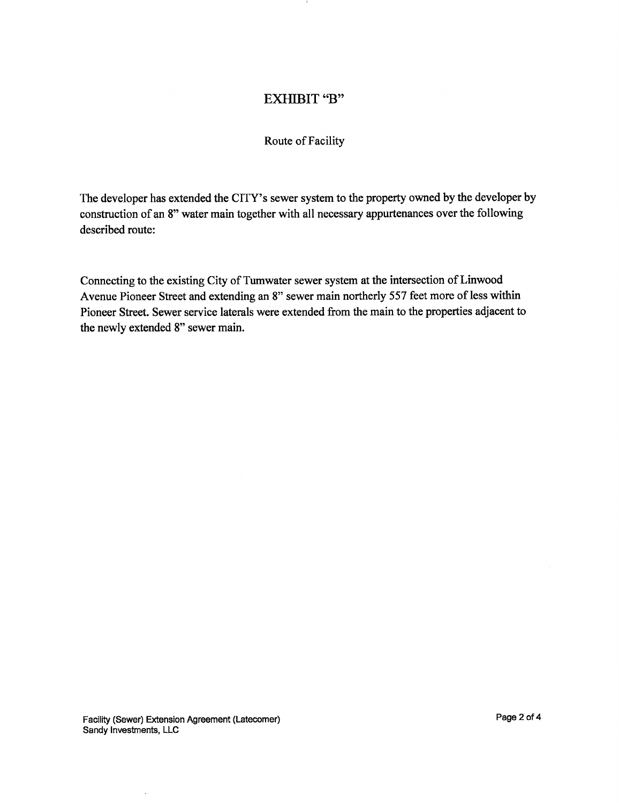## EXHIBIT "B"

#### Route of Facility

The developer has extended the CITY's sewer system to the property owned by the developer by construction of an 8" water main together with all necessary appurtenances over the following described route:

Connecting to the existing City of Tumwater sewer system at the intersection of Linwood Avenue Pioneer Street and extending an 8" sewer main northerly 557 feet more of less within Pioneer Street. Sewer service laterals were extended from the main to the properties adjacent to the newly extended 8" sewer main.

J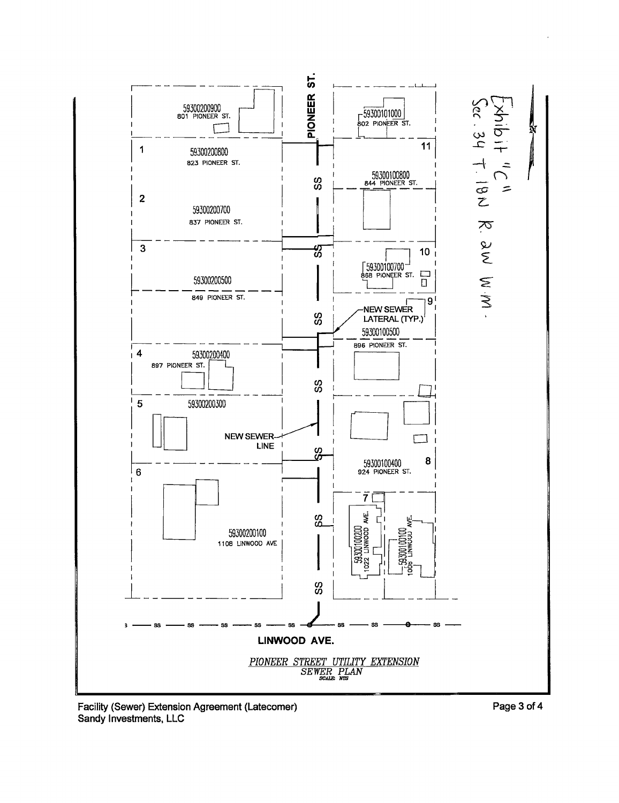

Facility (Sewer) Extension Agreement (Latecomer) Sandy Investments, LLC

Page 3 of 4